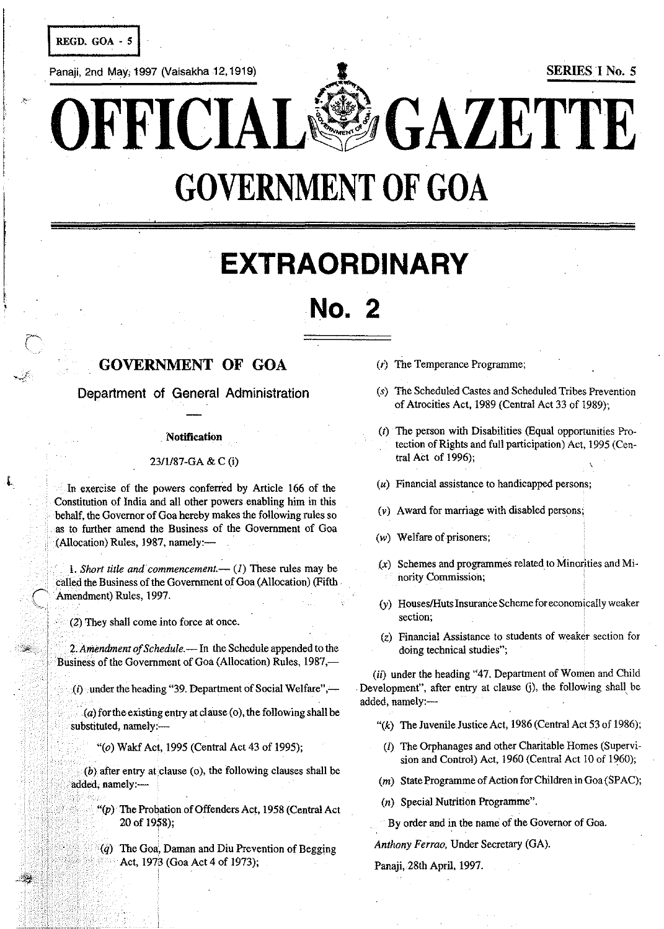REGD. GOA - 5

**Panaji, 2nd May; 1997 (Vaisakha 12, 1919)** I SERIES I No. 5

..

OFFICIAL<sup>&</sup>OGAZETTE

# **GOVERNMENT OF GOA**

# **EXTRAORDINARY**

# **No.2**

# **GOVERNMENT OF GOA**

Department of General Administration

#### **Notification**

#### *23/1187·GA* & C (i)

In exercise of the powers conferred by Article 166 of the Constitution of India and all other powers enabling him in this behalf, the Governor of Goa hereby makes the following rules so as to further amend the Business of the Government of Goa (Allocation) Rules, 1987, namely:-

1. *Short title and commencement*.—  $(I)$  These rules may be called the Business of the Government of Goa (Allocation) (Fifth Amendment) Rules, 1997.

 $\mathcal{L}(2)$  They shall come into force at once.

2. Amendment of Schedule. - In the Schedule appended to the Business of the Government of Goa (Allocation) Rules, 1987,—

 $(i)$  under the heading "39. Department of Social Welfare",—

 $(a)$  for the existing entry at clause (0), the following shall be substituted, namely:-

"(0) Wakf Act, 1995 (Central Act 43 of 1995);

 $(b)$  after entry at clause (o), the following clauses shall be added, namely:-

- $f'(p)$  The Probation of Offenders Act, 1958 (Central Act 20 of 1958);
- $(q)$  The Goa, Daman and Diu Prevention of Begging Act, 1973 (Goa Act 4 of 1973);
- (r) The Temperance Programme;
- (s) The Scheduled Castes and Scheduled Tribes Prevention of Atrocities Act, 1989 (Central Act 33 of 1989);
- (t) The person with Disabilities (Equal opportunities Pro· tection of Rights and full participation) Act, 1995 (Cen· tral Act of 1996);
- $(u)$  Financial assistance to handicapped persons;
- (v) Award for marriage with disabled persons;
- (w) Welfare of prisoners;
- (x) Schemes and programmes related to Minorities and Mi· Novation International Muslim Commission;<br>
Schemes and programmes related to Minorities and nority Commission;
- (y) HouseslHuts Insurance Scheme for economically weaker **section;**
- (z) Financial Assistance to students of weaker section for doing technical studies";

(ii) under the heading "47. Department of Women and Child Development", after entry at clause G), the following shall be added, namely:----

- "( $k$ ) The Juvenile Justice Act, 1986 (Central Act 53 of 1986);
- (I) The Orphanages and other Charitable Homes (Supervi· sion and Control) Act, 1960 (Central Act 10 of 1960);
- (m) State Programme of Action for Children in Goa (SPAC);
- (n) Special Nutrition Programme".
- By order and in the name of the Governor of Goa.

Anthony Ferrao, Under Secretary (GA).

Panaji, 28th April, 1997.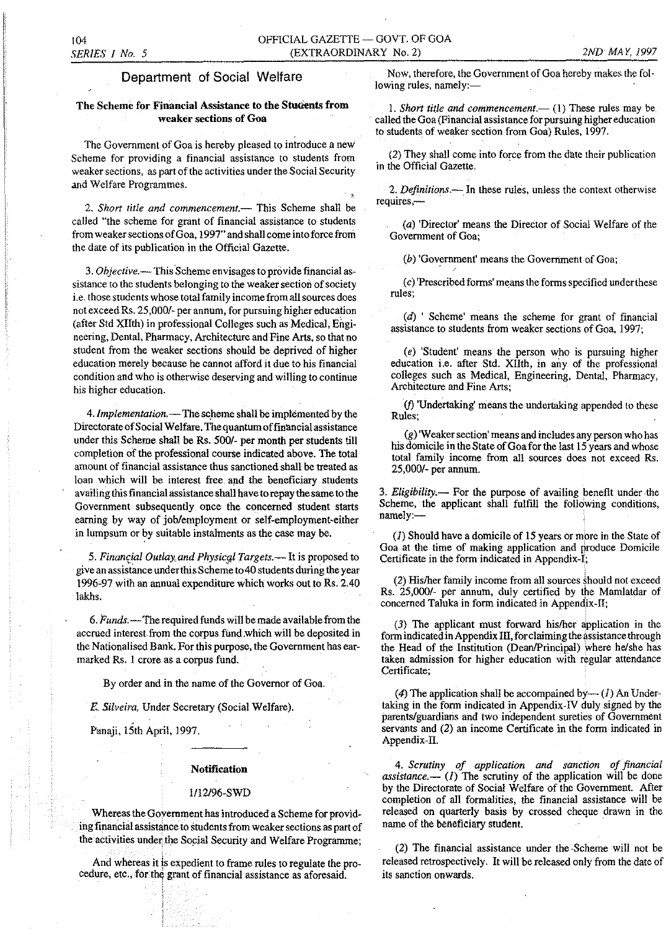### Department of Social Welfare

### The Scheme for Financial Assistance to the Students from **weaker sections of Goa**

The Government of Goa is hereby pleased to introduce a new Scheme for providing a financial assistance to students from weaker sections, as part of the activities under the Social Security and Welfare Programmes.

2. Short title and commencement.-- This Scheme shall be called "the scheme for grant of financial assistance to students from weaker sections of Goa, 1997" and shall come into force from the date of its publication in the Official Gazette.

*3. Objective.-* This'Scheme envisages to provide financial assistance to the students belonging to the weaker section of society i.e. those students whose total family income from all sources does not exceed Rs. 25,000/- per annum, for pursuing higher education (after Std XIIth) in professional COlleges such as Medical, Engineering, Dental, Pharmacy, Architecture and Fine Arts, so that no student from the weaker sections should be deprived of higher education merely because he cannot afford it due to his financial condition and who is otherwise deserving and willing to continue his higher education.

4. *Implementation.*— The scheme shall be implemented by the Directorate of Social Welfare. The quantum offinancial assistance under this Scheme shall be Rs. 500/- per month per students till completion of the professional course indicated above. The total amount of financial assistance thus sanctioned shall be treated as loan which will be interest free and the beneficiary students availing this financial assistance shall have to repay the same to the Government subsequently once the concerned student starts earning by way of job/employment or self-employment-either in lumpsum or by suitable instalments as the case may be.

5. Financial Outlay and Physical Targets.-It is proposed to give an assistance under this Scheme to 40 students during the year 1996-97 with an annual expenditure which works out to Rs. 2.40 lakhs.

*6. Funds.-*The required funds will be made available from the accrued interest from the corpus fund.which will be deposited in the Nationalised Bank. For this purpose, the Government has earmarked Rs. 1 crore as a corpus fund.

By order and in the name of the Governor of Goa.

*E, Silveira,* Under Secretary (Social Welfare).

Panaji, 15th April, 1997.

#### Notification

#### 1112/96-SWD

Whereas the Goyernment has introduced a Scheme for providing financial assistance to students from weaker sections as patt of the activities under the Social Security and Welfare Programme;

And whereas it js expedient to frame rules to regulate the procedure, etc., for the grant of financial assistance as aforesaid.

Now, therefore, the Government of Goa hereby makes the fol $lowing rules, namely:$ 

1. *Short title and commencement*.— (1) These rules may be . called the Goa (Financial assistance for pursuing higher education to students of weaker section from Goa) Rules, 1997.

(2) They shall come into force from the date their publication in the Official Gazette. .

2. Definitions.-- In these rules, unless the context otherwise **requires,-**

(a) 'Director' means the Director of Social Welfare of the Government of Goa;

(b) 'Government' means the Government of Goa;

(c) 'Prescribed forms' means the forms specified under these **rules;** 

 $(d)$  ' Scheme' means the scheme for grant of financial assistance to students from weaker sections of Goa, 1997;

(e) 'Student' means the person who is pursuing higher education i.e. after Std. XIIth, in any of the professional colleges such as Medical, Engineering, Dental, Pharmacy, Architecture and Fine Arts;

(j) 'Undertaking' means the undertaking appended to these **Rules;** .

(g) 'Weaker section' means and includes any person who has his domicile in the State of Goa for the last 15 years and whose total family income from all sources does not exceed Rs. 25,000/- per annum.

*3. Eligibility.-* For the purpose of availing benefit under the Scheme, the applicant shall fulfill the following conditions, namely:-

(1) Should have a domicile of 15 years or more in the State of Goa at the time of making application and produce Domicile Certificate in the form indicated in Appendix-I;

(2) Hislher family income from all sources should not exceed Rs. 25,000/- per annum, duly certified by the Mamlatdar of concerned Taluka in form indicated in Appendix-II;

(3) The applicant must forward hislher application in the form indicated in Appendix III, for claiming the assistance through the Head of the Institution (Dean/Principal) where he/she has taken admission for higher education with regular attendance Certificate;

(4) The application shall be accompained by- $-(1)$  An Undertaking in the form indicated in Appendix-IV duly signed by the parents/guardians and two independent sureties of Government servants and (2) an income Certificate in the form indicated in Appendix-II.

*4. Scrutiny of application and sanction of financial The scrutiny of the application will be done* by the Directorate of Social Welfare of the Government. After completion of all formalities, the financial assistance will be released on quarterly basis by crossed cheque drawn in the name of the beneficiary student.

(2) The financial assistance under the ·Scheme will not be released retrospectively. It will be released only from the date of **its sanction onwards.**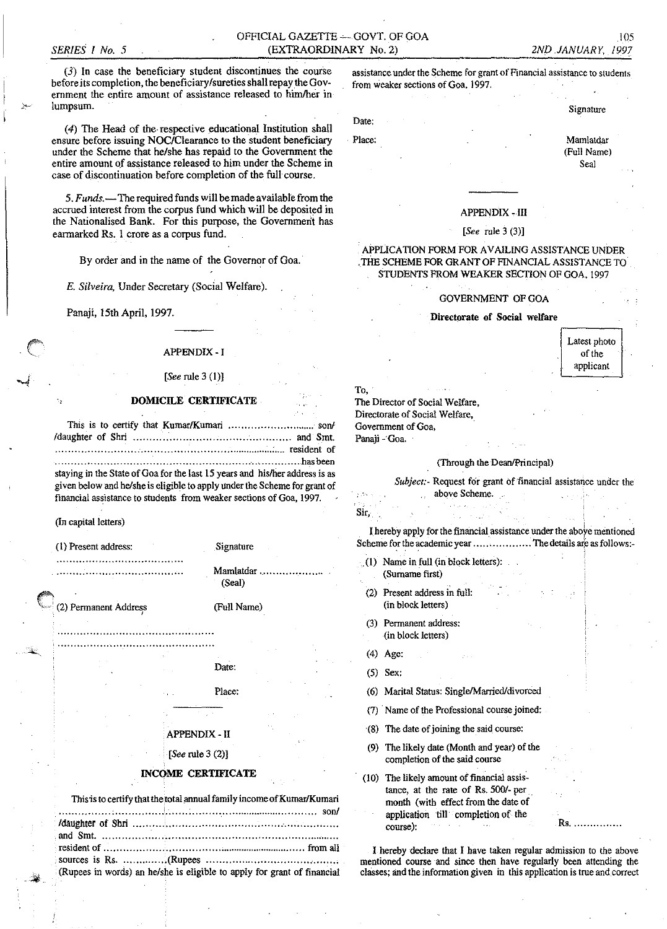### OFFICIAL GAZETTE - GOVT, OF GOA (EXTRAORDINARY No. 2)

 $(3)$  In case the beneficiary student discontinues the course before its completion, the beneficiary/sureties shall repay the Government the entire amount of assistance released to him/her in lumpsum.

(4) The Head of the respective educational Institution shall ensure before issuing NOC/Clearance to the student beneficiary under the Scheme that he/she has repaid to the Government the entire amount of assistance released to him under the Scheme in case of discontinuation before completion of the full course.

5. Funds.—The required funds will be made available from the accrued interest from the corpus fund which will be deposited in the Nationalised Bank. For this purpose, the Government has earmarked Rs. 1 crore as a corpus fund.

By order and in the name of the Governor of Goa.

E. Silveira, Under Secretary (Social Welfare).

Panaji, 15th April, 1997.

#### **APPENDIX - I**

#### [See rule  $3(1)$ ]

#### **DOMICILE CERTIFICATE**

| resident of                                                                 |  |
|-----------------------------------------------------------------------------|--|
|                                                                             |  |
| staying in the State of Goa for the last 15 years and his/her address is as |  |
| given below and he/she is eligible to apply under the Scheme for grant of   |  |

financial assistance to students from weaker sections of Goa, 1997.

#### (In capital letters)

(1) Present address:

(2) Permanent Address

(Full Name)

Mamlatdar ...

Signature

(Seal)

## Date: Place:

### **APPENDIX - II**

[See rule  $3(2)$ ]

#### **INCOME CERTIFICATE**

| This is to certify that the total annual family income of Kumar/Kumari  |
|-------------------------------------------------------------------------|
|                                                                         |
|                                                                         |
|                                                                         |
|                                                                         |
|                                                                         |
| (Rupees in words) an he/she is eligible to apply for grant of financial |

assistance under the Scheme for grant of Financial assistance to students from weaker sections of Goa, 1997.

Date:

Place:

Mamlatdar (Full Name)

Signature

Seal

#### **APPENDIX - III**

#### [See rule  $3(3)$ ]

#### APPLICATION FORM FOR AVAILING ASSISTANCE UNDER THE SCHEME FOR GRANT OF FINANCIAL ASSISTANCE TO STUDENTS FROM WEAKER SECTION OF GOA, 1997

#### **GOVERNMENT OF GOA**

#### Directorate of Social welfare

Latest photo of the applicant

| $To, \neg$                     | the company of the             |
|--------------------------------|--------------------------------|
| The Director of Social Welfare |                                |
|                                | Directorate of Social Welfare, |
| Government of Goa.             |                                |
| Panaii Goa.                    |                                |

#### (Through the Dean/Principal)

| Subject. Request for grant of financial assistance under the |  |  |
|--------------------------------------------------------------|--|--|
| above Scheme                                                 |  |  |

Sir,

I hereby apply for the financial assistance under the above mentioned Scheme for the academic year ..................... The details are as follows:-

- (1) Name in full (in block letters): (Surname first)
- Present address in full:  $(2)$ (in block letters)
- (3) Permanent address: (in block letters)
- $(4)$  Age:
- $(5)$  Sex:
- (6) Marital Status: Single/Married/divorced
- (7) Name of the Professional course joined:
- (8) The date of joining the said course:
- The likely date (Month and year) of the  $(9)$ completion of the said course
- (10) The likely amount of financial assistance, at the rate of Rs. 500/- per month (with effect from the date of application till completion of the course):

I hereby declare that I have taken regular admission to the above mentioned course and since then have regularly been attending the classes; and the information given in this application is true and correct

Rs. . . . .